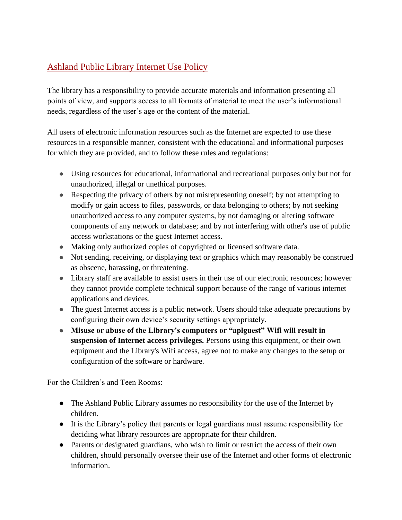## Ashland Public Library Internet Use Policy

The library has a responsibility to provide accurate materials and information presenting all points of view, and supports access to all formats of material to meet the user's informational needs, regardless of the user's age or the content of the material.

All users of electronic information resources such as the Internet are expected to use these resources in a responsible manner, consistent with the educational and informational purposes for which they are provided, and to follow these rules and regulations:

- Using resources for educational, informational and recreational purposes only but not for unauthorized, illegal or unethical purposes.
- Respecting the privacy of others by not misrepresenting oneself; by not attempting to modify or gain access to files, passwords, or data belonging to others; by not seeking unauthorized access to any computer systems, by not damaging or altering software components of any network or database; and by not interfering with other's use of public access workstations or the guest Internet access.
- Making only authorized copies of copyrighted or licensed software data.
- Not sending, receiving, or displaying text or graphics which may reasonably be construed as obscene, harassing, or threatening.
- Library staff are available to assist users in their use of our electronic resources; however they cannot provide complete technical support because of the range of various internet applications and devices.
- The guest Internet access is a public network. Users should take adequate precautions by configuring their own device's security settings appropriately.
- **Misuse or abuse of the Library's computers or "aplguest" Wifi will result in suspension of Internet access privileges.** Persons using this equipment, or their own equipment and the Library's Wifi access, agree not to make any changes to the setup or configuration of the software or hardware.

For the Children's and Teen Rooms:

- The Ashland Public Library assumes no responsibility for the use of the Internet by children.
- It is the Library's policy that parents or legal guardians must assume responsibility for deciding what library resources are appropriate for their children.
- Parents or designated guardians, who wish to limit or restrict the access of their own children, should personally oversee their use of the Internet and other forms of electronic information.